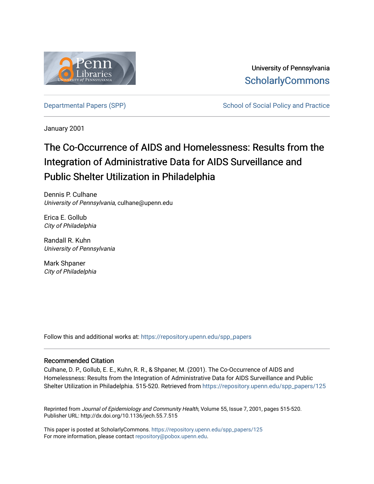

University of Pennsylvania **ScholarlyCommons** 

[Departmental Papers \(SPP\)](https://repository.upenn.edu/spp_papers) School of Social Policy and Practice

January 2001

# The Co-Occurrence of AIDS and Homelessness: Results from the Integration of Administrative Data for AIDS Surveillance and Public Shelter Utilization in Philadelphia

Dennis P. Culhane University of Pennsylvania, culhane@upenn.edu

Erica E. Gollub City of Philadelphia

Randall R. Kuhn University of Pennsylvania

Mark Shpaner City of Philadelphia

Follow this and additional works at: [https://repository.upenn.edu/spp\\_papers](https://repository.upenn.edu/spp_papers?utm_source=repository.upenn.edu%2Fspp_papers%2F125&utm_medium=PDF&utm_campaign=PDFCoverPages) 

### Recommended Citation

Culhane, D. P., Gollub, E. E., Kuhn, R. R., & Shpaner, M. (2001). The Co-Occurrence of AIDS and Homelessness: Results from the Integration of Administrative Data for AIDS Surveillance and Public Shelter Utilization in Philadelphia. 515-520. Retrieved from [https://repository.upenn.edu/spp\\_papers/125](https://repository.upenn.edu/spp_papers/125?utm_source=repository.upenn.edu%2Fspp_papers%2F125&utm_medium=PDF&utm_campaign=PDFCoverPages) 

Reprinted from Journal of Epidemiology and Community Health, Volume 55, Issue 7, 2001, pages 515-520. Publisher URL: http://dx.doi.org/10.1136/jech.55.7.515

This paper is posted at ScholarlyCommons. [https://repository.upenn.edu/spp\\_papers/125](https://repository.upenn.edu/spp_papers/125)  For more information, please contact [repository@pobox.upenn.edu.](mailto:repository@pobox.upenn.edu)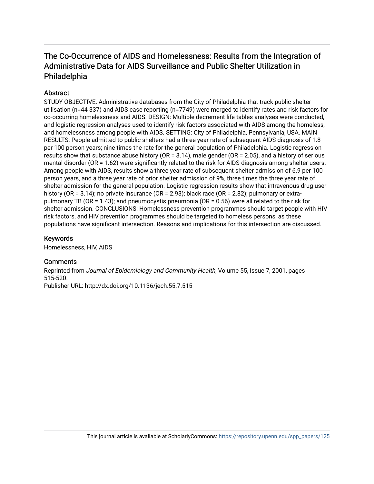# The Co-Occurrence of AIDS and Homelessness: Results from the Integration of Administrative Data for AIDS Surveillance and Public Shelter Utilization in Philadelphia

## **Abstract**

STUDY OBJECTIVE: Administrative databases from the City of Philadelphia that track public shelter utilisation (n=44 337) and AIDS case reporting (n=7749) were merged to identify rates and risk factors for co-occurring homelessness and AIDS. DESIGN: Multiple decrement life tables analyses were conducted, and logistic regression analyses used to identify risk factors associated with AIDS among the homeless, and homelessness among people with AIDS. SETTING: City of Philadelphia, Pennsylvania, USA. MAIN RESULTS: People admitted to public shelters had a three year rate of subsequent AIDS diagnosis of 1.8 per 100 person years; nine times the rate for the general population of Philadelphia. Logistic regression results show that substance abuse history (OR = 3.14), male gender (OR = 2.05), and a history of serious mental disorder (OR = 1.62) were significantly related to the risk for AIDS diagnosis among shelter users. Among people with AIDS, results show a three year rate of subsequent shelter admission of 6.9 per 100 person years, and a three year rate of prior shelter admission of 9%, three times the three year rate of shelter admission for the general population. Logistic regression results show that intravenous drug user history (OR = 3.14); no private insurance (OR = 2.93); black race (OR = 2.82); pulmonary or extrapulmonary TB (OR = 1.43); and pneumocystis pneumonia (OR = 0.56) were all related to the risk for shelter admission. CONCLUSIONS: Homelessness prevention programmes should target people with HIV risk factors, and HIV prevention programmes should be targeted to homeless persons, as these populations have significant intersection. Reasons and implications for this intersection are discussed.

### Keywords

Homelessness, HIV, AIDS

### **Comments**

Reprinted from Journal of Epidemiology and Community Health, Volume 55, Issue 7, 2001, pages 515-520.

Publisher URL: http://dx.doi.org/10.1136/jech.55.7.515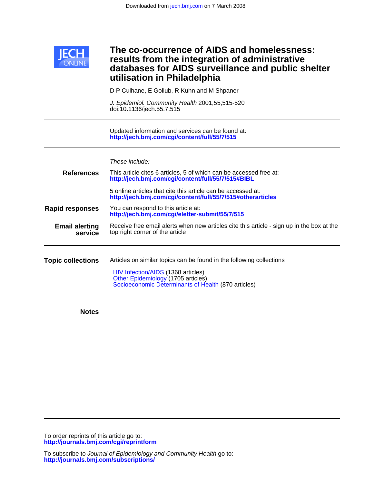

# **utilisation in Philadelphia databases for AIDS surveillance and public shelter results from the integration of administrative The co-occurrence of AIDS and homelessness:**

D P Culhane, E Gollub, R Kuhn and M Shpaner

doi:10.1136/jech.55.7.515 J. Epidemiol. Community Health 2001;55;515-520

**<http://jech.bmj.com/cgi/content/full/55/7/515>** Updated information and services can be found at:

|                                  | These include:                                                                                                                  |
|----------------------------------|---------------------------------------------------------------------------------------------------------------------------------|
| <b>References</b>                | This article cites 6 articles, 5 of which can be accessed free at:<br>http://jech.bmj.com/cgi/content/full/55/7/515#BIBL        |
|                                  | 5 online articles that cite this article can be accessed at:<br>http://jech.bmj.com/cgi/content/full/55/7/515#otherarticles     |
| <b>Rapid responses</b>           | You can respond to this article at:<br>http://jech.bmj.com/cgi/eletter-submit/55/7/515                                          |
| <b>Email alerting</b><br>service | Receive free email alerts when new articles cite this article - sign up in the box at the<br>top right corner of the article    |
| <b>Topic collections</b>         | Articles on similar topics can be found in the following collections                                                            |
|                                  | HIV Infection/AIDS (1368 articles)<br>Other Epidemiology (1705 articles)<br>Socioeconomic Determinants of Health (870 articles) |

**Notes**

**<http://journals.bmj.com/cgi/reprintform>** To order reprints of this article go to: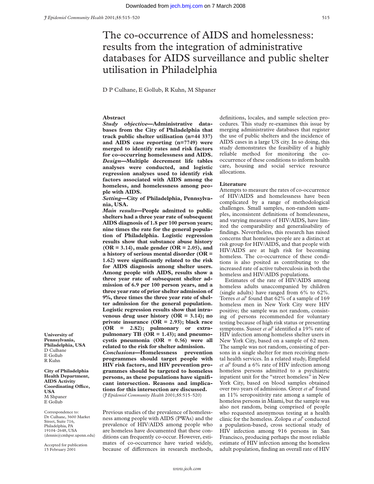# The co-occurrence of AIDS and homelessness: results from the integration of administrative databases for AIDS surveillance and public shelter utilisation in Philadelphia

D P Culhane, E Gollub, R Kuhn, M Shpaner

#### **Abstract**

*Study objective***—Administrative databases from the City of Philadelphia that track public shelter utilisation (n=44 337) and AIDS case reporting (n=7749) were merged to identify rates and risk factors for co-occurring homelessness and AIDS.** *Design***—Multiple decrement life tables analyses were conducted, and logistic regression analyses used to identify risk factors associated with AIDS among the homeless, and homelessness among people with AIDS.**

*Setting***—City of Philadelphia, Pennsylvania, USA.**

*Main results***—People admitted to public shelters had a three year rate of subsequent AIDS diagnosis of 1.8 per 100 person years; nine times the rate for the general population of Philadelphia. Logistic regression results show that substance abuse history (OR = 3.14), male gender (OR = 2.05), and a history of serious mental disorder (OR = 1.62) were significantly related to the risk for AIDS diagnosis among shelter users. Among people with AIDS, results show a three year rate of subsequent shelter admission of 6.9 per 100 person years, and a three year rate of prior shelter admission of 9%, three times the three year rate of shelter admission for the general population. Logistic regression results show that intravenous drug user history (OR = 3.14); no private insurance (OR = 2.93); black race (OR = 2.82); pulmonary or extrapulmonary TB (OR = 1.43); and pneumocystis pneumonia (OR = 0.56) were all related to the risk for shelter admission.** *Conclusions***—Homelessness prevention programmes should target people with HIV risk factors, and HIV prevention programmes should be targeted to homeless persons, as these populations have significant intersection. Reasons and implications for this intersection are discussed.**

(*J Epidemiol Community Health* 2001;**55**:515–520)

Previous studies of the prevalence of homelessness among people with AIDS (PWAs) and the prevalence of HIV/AIDS among people who are homeless have documented that these conditions can frequently co-occur. However, estimates of co-occurrence have varied widely, because of differences in research methods,

definitions, locales, and sample selection procedures. This study re-examines this issue by merging administrative databases that register the use of public shelters and the incidence of AIDS cases in a large US city. In so doing, this study demonstrates the feasibility of a highly reliable method for monitoring the cooccurrence of these conditions to inform health care, housing and social service resource allocations.

#### **Literature**

Attempts to measure the rates of co-occurrence of HIV/AIDS and homelessness have been complicated by a range of methodological challenges. Small samples, non-random samples, inconsistent definitions of homelessness, and varying measures of HIV/AIDS, have limited the comparability and generalisability of findings. Nevertheless, this research has raised concerns that homeless people are a distinct at risk group for HIV/AIDS, and that people with HIV/AIDS are at high risk for becoming homeless. The co-occurrence of these conditions is also posited as contributing to the increased rate of active tuberculosis in both the homeless and HIV/AIDS populations.

Estimates of the rate of HIV/AIDS among homeless adults unaccompanied by children (single adults) have ranged from 6% to 62%. Torres *et al*<sup>1</sup> found that 62% of a sample of 169 homeless men in New York City were HIV positive; the sample was not random, consisting of persons recommended for voluntary testing because of high risk status or presenting symptoms. Susser *et al*<sup>2</sup> identified a 19% rate of HIV infection among homeless shelter users in New York City, based on a sample of 62 men. The sample was not random, consisting of persons in a single shelter for men receiving mental health services. In a related study, Empfield *et al*<sup>3</sup> found a 6% rate of HIV infection among homeless persons admitted to a psychiatric inpatient unit for the "street homeless" in New York City, based on blood samples obtained over two years of admissions. Greer *et al*<sup>4</sup> found an 11% seropositivity rate among a sample of homeless persons in Miami, but the sample was also not random, being comprised of people who requested anonymous testing at a health clinic for the homeless. Zolopa *et al<sup>5</sup>* conducted a population-based, cross sectional study of HIV infection among 916 persons in San Francisco, producing perhaps the most reliable estimate of HIV infection among the homeless adult population, finding an overall rate of HIV

**University of Pennsylvania, Philadelphia, USA** D Culhane E Gollub R Kuhn

**City of Philadelphia Health Department, AIDS Activity Coordinating OYce, USA** M Shpaner E Gollub

Correspondence to: Dr Culhane, 3600 Market Street, Suite 716, Philadelphia, PA 19104–2648, USA (dennis@cmhpsr.upenn.edu)

Accepted for publication 15 February 2001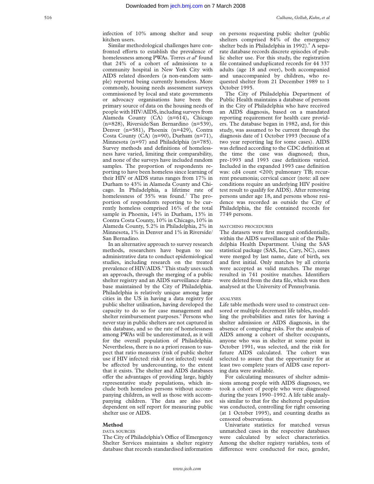infection of 10% among shelter and soup kitchen users.

Similar methodological challenges have confronted efforts to establish the prevalence of homelessness among PWAs. Torres *et al*<sup>6</sup> found that 24% of a cohort of admissions to a community hospital in New York City with AIDS related disorders (a non-random sample) reported being currently homeless. More commonly, housing needs assessment surveys commissioned by local and state governments or advocacy organisations have been the primary source of data on the housing needs of people with HIV/AIDS, including surveys from Alameda County (CA) (n=614), Chicago (n=828), Riverside/San Bernardino (n=539), Denver (n=581), Phoenix (n=429), Contra Costa County (CA) (n=90), Durham (n=71), Minnesota (n=97) and Philadelphia (n=785). Survey methods and definitions of homelessness have varied, limiting their comparability, and none of the surveys have included random samples. The proportion of respondents reporting to have been homeless since learning of their HIV or AIDS status ranges from 17% in Durham to 43% in Alameda County and Chicago. In Philadelphia, a lifetime rate of homelessness of 35% was found.<sup>7</sup> The proportion of respondents reporting to be currently homeless comprised 16% of the total sample in Phoenix, 14% in Durham, 13% in Contra Costa County, 10% in Chicago, 10% in Alameda County, 5.2% in Philadelphia, 2% in Minnesota, 1% in Denver and 1% in Riverside/ San Bernadino.

In an alternative approach to survey research methods, researchers have begun to use administrative data to conduct epidemiological studies, including research on the treated prevalence of HIV/AIDS.<sup>8</sup> This study uses such an approach, through the merging of a public shelter registry and an AIDS surveillance database maintained by the City of Philadelphia. Philadelphia is relatively unique among large cities in the US in having a data registry for public shelter utilisation, having developed the capacity to do so for case management and shelter reimbursement purposes.<sup>9</sup> Persons who never stay in public shelters are not captured in this database, and so the rate of homelessness among PWAs will be underestimated, as it will for the overall population of Philadelphia. Nevertheless, there is no a priori reason to suspect that ratio measures (risk of public shelter use if HIV infected: risk if not infected) would be affected by undercounting, to the extent that it exists. The shelter and AIDS databases offer the advantages of providing large, highly representative study populations, which include both homeless persons without accompanying children, as well as those with accompanying children. The data are also not dependent on self report for measuring public shelter use or AIDS.

#### **Method**

#### DATA SOURCES

The City of Philadelphia's Office of Emergency Shelter Services maintains a shelter registry database that records standardised information on persons requesting public shelter (public shelters comprised 84% of the emergency shelter beds in Philadelphia in 1992).<sup>8</sup> A separate database records discrete episodes of public shelter use. For this study, the registration file contained unduplicated records for 44 337 adults (age 18 and over), both accompanied and unaccompanied by children, who requested shelter from 21 December 1989 to 1 October 1995.

The City of Philadelphia Department of Public Health maintains a database of persons in the City of Philadelphia who have received an AIDS diagnosis, based on a mandated reporting requirement for health care providers. The database began in 1982, and, for this study, was assumed to be current through the diagnosis date of 1 October 1993 (because of a two year reporting lag for some cases). AIDS was defined according to the CDC definition at the time the case was diagnosed; thus, pre-1993 and 1993 case definitions varied. Included in the expanded 1993 case definition was: cd4 count <200; pulmonary TB; recurrent pneumonia; cervical cancer (note: all new conditions require an underlying HIV positive test result to qualify for AIDS). After removing persons under age 18, and persons whose residence was recorded as outside the City of Philadelphia, the file contained records for 7749 persons.

#### MATCHING PROCEDURES

The datasets were first merged confidentially, within the AIDS surveillance unit of the Philadelphia Health Department. Using the SAS statistical package (SAS, Inc, Cary, NC), cases were merged by last name, date of birth, sex and first initial. Only matches by all criteria were accepted as valid matches. The merge resulted in 741 positive matches. Identifiers were deleted from the data file, which was then analysed at the University of Pennsylvania.

#### ANALYSES

Life table methods were used to construct censored or multiple decrement life tables, modelling the probabilities and rates for having a shelter admission or AIDS diagnosis, in the absence of competing risks. For the analysis of AIDS among a cohort of shelter occupants, anyone who was in shelter at some point in October 1991, was selected, and the risk for future AIDS calculated. The cohort was selected to assure that the opportunity for at least two complete years of AIDS case reporting data were available.

For calculating measures of shelter admissions among people with AIDS diagnoses, we took a cohort of people who were diagnosed during the years 1990–1992. A life table analysis similar to that for the sheltered population was conducted, controlling for right censoring (at 1 October 1995), and counting deaths as censored observations.

Univariate statistics for matched versus unmatched cases in the respective databases were calculated by select characteristics. Among the shelter registry variables, tests of difference were conducted for race, gender,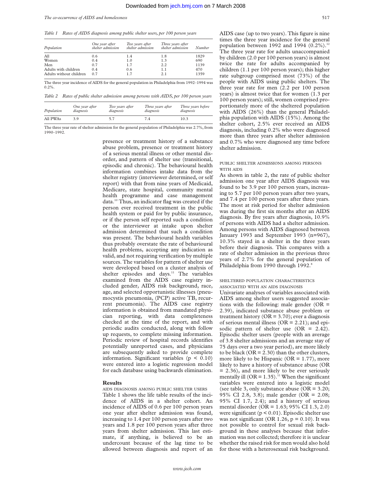*Table 1 Rates of AIDS diagnosis among public shelter users, per 100 person years*

| Population              | One year after<br>shelter admission | Two years after<br>shelter admission | Three years after<br>shelter admission | Number |
|-------------------------|-------------------------------------|--------------------------------------|----------------------------------------|--------|
| All                     | 0.6                                 | 1.4                                  | 1.8                                    | 1829   |
| Women                   | 0.4                                 | 1.0                                  | 1.3                                    | 690    |
| Men                     | 0.7                                 | 1.7                                  | 2.2                                    | 1139   |
| Adults with children    | 0.4                                 | 0.6                                  | 1.1                                    | 470    |
| Adults without children | 0.7                                 | 1.7                                  | 2.1                                    | 1359   |

The three year incidence of AIDS for the general population in Philadelphia from 1992–1994 was  $0.2\%$ .

*Table 2 Rates of public shelter admission among persons with AIDS, per 100 person years*

| Population | One year after | Two years after | Three years after | Three years before |
|------------|----------------|-----------------|-------------------|--------------------|
|            | diagnosis      | diagnosis       | diagnosis         | diagnosis          |
| All PWAs   | 3 Q            | 5.7             | 7.4               | 10.3               |

The three year rate of shelter admission for the general population of Philadelphia was 2.7%, from 1990–1992.

> presence or treatment history of a substance abuse problem, presence or treatment history of a serious mental illness or other mental disorder, and pattern of shelter use (transitional, episodic and chronic). The behavioural health information combines intake data from the shelter registry (interviewer determined, or self report) with that from nine years of Medicaid, Medicare, state hospital, community mental health programme and case management data.10 Thus, an indicator flag was created if the person ever received treatment in the public health system or paid for by public insurance, or if the person self reported such a condition or the interviewer at intake upon shelter admission determined that such a condition was present. The behavioural health variables thus probably overstate the rate of behavioural health problems, accepting any indication as valid, and not requiring verification by multiple sources. The variables for pattern of shelter use were developed based on a cluster analysis of shelter episodes and days.<sup>11</sup> The variables examined from the AIDS case registry included gender, AIDS risk background, race, age, and selected opportunistic illnesses (pneumocystis pneumonia, (PCP) active TB, recurrent pneumonia). The AIDS case registry information is obtained from mandated physician reporting, with data completeness checked at the time of the report, and with periodic audits conducted, along with follow up requests, to complete missing information. Periodic review of hospital records identifies potentially unreported cases, and physicians are subsequently asked to provide complete information. Significant variables ( $p < 0.10$ ) were entered into a logistic regression model for each database using backwards elimination.

#### **Results**

AIDS DIAGNOSIS AMONG PUBLIC SHELTER USERS Table 1 shows the life table results of the incidence of AIDS in a shelter cohort. An incidence of AIDS of 0.6 per 100 person years one year after shelter admission was found, increasing to 1.4 per 100 person years after two years and 1.8 per 100 person years after three years from shelter admission. This last estimate, if anything, is believed to be an undercount because of the lag time to be allowed between diagnosis and report of an

AIDS case (up to two years). This figure is nine times the three year incidence for the general population between 1992 and 1994  $(0.2\%)$ .<sup>12</sup> The three year rate for adults unaccompanied by children (2.0 per 100 person years) is almost twice the rate for adults accompanied by children (1.1 per 100 person years); this higher rate subgroup comprised most (73%) of the people with AIDS using public shelters. The three year rate for men (2.2 per 100 person years) is almost twice that for women (1.3 per 100 person years); still, women comprised proportionately more of the sheltered population with AIDS (26%) than the general Philadelphia population with AIDS (15%). Among the shelter cohort, 2.5% ever received an AIDS diagnosis, including 0.2% who were diagnosed more than three years after shelter admission and 0.7% who were diagnosed any time before shelter admission.

#### PUBLIC SHELTER ADMISSIONS AMONG PERSONS WITH AIDS

As shown in table 2, the rate of public shelter admission one year after AIDS diagnosis was found to be 3.9 per 100 person years, increasing to 5.7 per 100 person years after two years, and 7.4 per 100 person years after three years. The most at risk period for shelter admission was during the first six months after an AIDS diagnosis. By five years after diagnosis, 10.9% of persons with AIDS had a shelter admission. Among persons with AIDS diagnosed between January 1993 and September 1993 (n=967), 10.3% stayed in a shelter in the three years before their diagnosis. This compares with a rate of shelter admission in the previous three years of 2.7% for the general population of Philadelphia from 1990 through 1992.<sup>8</sup>

#### SHELTERED POPULATION CHARACTERISTICS ASSOCIATED WITH AN AIDS DIAGNOSIS

Univariate analyses of variables associated with AIDS among shelter users suggested associations with the following: male gender  $(OR =$ 2.39), indicated substance abuse problem or treatment history ( $OR = 3.70$ ); ever a diagnosis of serious mental illness ( $OR = 2.21$ ); and episodic pattern of shelter use  $(OR = 2.42)$ . Episodic shelter users (people with an average of 3.8 shelter admissions and an average stay of 75 days over a two year period), are more likely to be black ( $OR = 2.30$ ) than the other clusters, more likely to be Hispanic ( $OR = 1.77$ ), more likely to have a history of substance abuse (OR = 2.36), and more likely to be ever seriously mentally ill  $(OR = 1.35)$ .<sup>11</sup> When the significant variables were entered into a logistic model (see table 3, only substance abuse ( $OR = 3.20$ ; 95% CI 2.8, 3.8); male gender (OR = 2.08; 95% CI 1.7, 2.4); and a history of serious mental disorder (OR = 1.63; 95% CI 1.3, 2.0) were significant ( $p < 0.01$ ). Episodic shelter use was not significant (OR  $1.26$ ,  $p = 0.10$ ). It was not possible to control for sexual risk background in these analyses because that information was not collected; therefore it is unclear whether the raised risk for men would also hold for those with a heterosexual risk background.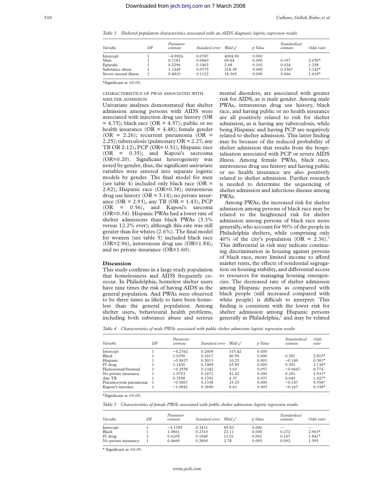*Table 3 Sheltered population characteristics associated with an AIDS diagnosis: logistic regression results*

| Variable              | DF | Parameter<br>estimate | Standard error | Wald $\gamma^2$ | p Value | <i>Standardised</i><br>estimate | Odds ratio |
|-----------------------|----|-----------------------|----------------|-----------------|---------|---------------------------------|------------|
| Intercept             |    | $-4.9826$             | 0.0787         | 4004.90         | 0.000   |                                 |            |
| Male                  |    | 0.7181                | 0.0860         | 69.64           | 0.000   | 0.197                           | $2.050*$   |
| Episodic              |    | 0.2296                | 0.1403         | 2.68            | 0.102   | 0.024                           | 1.258      |
| Substance abuse       |    | 1.1449                | 0.0775         | 218.38          | 0.000   | 0.2567                          | $3.142*$   |
| Severe mental illness |    | 0.4810                | 0.1122         | 18.365          | 0.000   | 0.066                           | $1.618*$   |

\*Significant at < 0.05.

CHARACTERISTICS OF PWAS ASSOCIATED WITH SHELTER ADMISSION

Univariate analyses demonstrated that shelter admission among persons with AIDS were associated with injection drug use history (OR  $= 4.75$ ); black race (OR  $= 4.57$ ); public or no health insurance ( $OR = 4.48$ ); female gender  $(OR = 2.26)$ ; recurrent pneumonia  $(OR = 1.26)$ 2.25); tuberculosis (pulmonary OR = 2.27; any TB OR 2.12); PCP (OR= 0.51); Hispanic race (OR = 0.35); and Kaposi's sacrcoma (OR=0.20). Significant heterogeneity was noted by gender, thus, the significant univariate variables were entered into separate logistic models by gender. The final model for men (see table 4) included only black race  $(OR =$ 2.82); Hispanic race (OR=0.38); intravenous drug use history ( $OR = 3.14$ ); no private insurance (OR = 2.93), any TB (OR = 1.43), PCP (OR = 0.56), and Kaposi's sarcoma (OR=0.34). Hispanic PWAs had a lower rate of shelter admissions than black PWAs (3.3% versus 12.2% ever); although this rate was still greater than for whites (2.6%). The final model for women (see table 5) included black race (OR=2.96), intravenous drug use (OR=1.84), and no private insurance (OR=1.60).

#### **Discussion**

This study confirms in a large study population that homelessness and AIDS frequently cooccur. In Philadelphia, homeless shelter users have nine times the risk of having AIDS as the general population. And PWAs were observed to be three times as likely to have been homeless than the general population. Among shelter users, behavioural health problems, including both substance abuse and serious mental disorders, are associated with greater risk for AIDS, as is male gender. Among male PWAs, intravenous drug use history, black race, and having public or no health insurance are all positively related to risk for shelter admission, as is having any tuberculosis, while being Hispanic and having PCP are negatively related to shelter admission. This latter finding may be because of the reduced probability of shelter admission that results from the hospitalisation associated with PCP or severe AIDS illness. Among female PWAs, black race, intravenous drug use history and having public or no health insurance are also positively related to shelter admission. Further research is needed to determine the sequencing of shelter admission and infectious disease among PWAs.

Among PWAs, the increased risk for shelter admission among persons of black race may be related to the heightened risk for shelter admission among persons of black race more generally, who account for 90% of the people in Philadelphia shelters, while comprising only 40% of the city's population (OR =  $2.36$ ).<sup>9</sup> This differential in risk may indicate continuing discrimination in housing against persons of black race, more limited income to afford market rents, the effects of residential segregation on housing stability, and differential access to resources for managing housing emergencies. The decreased rate of shelter admission among Hispanic persons as compared with black people (still increased compared with white people) is difficult to interpret. This finding is consistent with the lower risk for shelter admission among Hispanic persons generally in Philadelphia,<sup>9</sup> and may be related

*Table 4 Characteristics of male PWAs associated with public shelter admission: logistic regression results*

| Variable                 | DF | Parameter<br>estimate | Standard error | Wald $\gamma^2$ | p Value | <b>Standardised</b><br>estimate | Odds<br>ratio |
|--------------------------|----|-----------------------|----------------|-----------------|---------|---------------------------------|---------------|
| Intercept                |    | $-4.2762$             | 0.2408         | 315.42          | 0.000   |                                 |               |
| Black                    |    | 1.0350                | 0.1617         | 40.96           | 0.000   | 0.281                           | $2.815*$      |
| Hispanic                 |    | $-0.9637$             | 0.3013         | 10.23           | 0.001   | $-0.149$                        | $0.381*$      |
| IV drug                  |    | 1.1430                | 0.1409         | 65.85           | 0.000   | 0.301                           | $3.136*$      |
| Homosexual/bisexual      |    | $-0.2558$             | 0.1342         | 3.63            | 0.057   | $-0.0667$                       | 0.774         |
| No private insurance     |    | 1.0753                | 0.1671         | 41.42           | 0.000   | 0.281                           | $2.931*$      |
| Any TB                   |    | 0.3558                | 0.1702         | 4.37            | 0.037   | 0.045                           | $1.427*$      |
| Pneumocystis pneumonia 1 |    | $-0.5867$             | 0.1338         | 19.23           | 0.000   | $-0.147$                        | $0.556*$      |
| Kaposi's sarcoma         |    | $-1.0841$             | 0.3690         | 8.63            | 0.003   | $-0.167$                        | $0.338*$      |
|                          |    |                       |                |                 |         |                                 |               |

\*Significant at  $< 0.05$ 

*Table 5 Characteristics of female PWAs associated with public shelter admission: logistic regression results*

| Variable             | DF | Parameter<br>estimate | Standard error | Wald $\gamma^2$ | p Value | Standardised<br>estimate | Odds ratio |
|----------------------|----|-----------------------|----------------|-----------------|---------|--------------------------|------------|
| Intercept            |    | $-3.1785$             | 0.3431         | 85.83           | 0.000   |                          |            |
| Black                |    | 1.0861                | 0.2310         | 22.11           | 0.000   | 0.272                    | $2.963*$   |
| IV drug              |    | 0.6105                | 0.1840         | 11.01           | 0.001   | 0.167                    | $1.841*$   |
| No private insurance |    | 0.4669                | 0.2800         | 2.78            | 0.095   | 0.092                    | 1.595      |

\* Significant at < 0.05.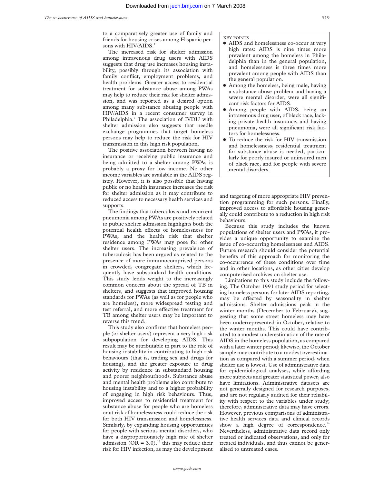to a comparatively greater use of family and friends for housing crises among Hispanic persons with HIV/AIDS.<sup>7</sup>

The increased risk for shelter admission among intravenous drug users with AIDS suggests that drug use increases housing instability, possibly through its association with family conflict, employment problems, and health problems. Greater access to residential treatment for substance abuse among PWAs may help to reduce their risk for shelter admission, and was reported as a desired option among many substance abusing people with HIV/AIDS in a recent consumer survey in Philadelphia.<sup>7</sup> The association of IVDU with shelter admission also suggests that needle exchange programmes that target homeless persons may help to reduce the risk for HIV transmission in this high risk population.

The positive association between having no insurance or receiving public insurance and being admitted to a shelter among PWAs is probably a proxy for low income. No other income variables are available in the AIDS registry. However, it is also possible that having public or no health insurance increases the risk for shelter admission as it may contribute to reduced access to necessary health services and supports.

The findings that tuberculosis and recurrent pneumonia among PWAs are positively related to public shelter admission highlights both the potential health effects of homelessness for PWAs, and the health risk that shelter residence among PWAs may pose for other shelter users. The increasing prevalence of tuberculosis has been argued as related to the presence of more immunocomprised persons in crowded, congregate shelters, which frequently have substandard health conditions. This study lends weight to the increasingly common concern about the spread of TB in shelters, and suggests that improved housing standards for PWAs (as well as for people who are homeless), more widespread testing and test referral, and more effective treatment for TB among shelter users may be important to reverse this trend.

This study also confirms that homeless people (or shelter users) represent a very high risk subpopulation for developing AIDS. This result may be attributable in part to the role of housing instability in contributing to high risk behaviours (that is, trading sex and drugs for housing), and the greater exposure to drug activity by residence in substandard housing and poorer neighbourhoods. Substance abuse and mental health problems also contribute to housing instability and to a higher probability of engaging in high risk behaviours. Thus, improved access to residential treatment for substance abuse for people who are homeless or at risk of homelessness could reduce the risk for both HIV transmission and homelessness. Similarly, by expanding housing opportunities for people with serious mental disorders, who have a disproportionately high rate of shelter admission (OR =  $3.0$ ),<sup>13</sup> this may reduce their risk for HIV infection, as may the development

KEY POINTS

- AIDS and homelessness co-occur at very high rates: AIDS is nine times more prevalent among the homeless in Philadelphia than in the general population, and homelessness is three times more prevalent among people with AIDS than the general population.
- Among the homeless, being male, having a substance abuse problem and having a severe mental disorder, were all significant risk factors for AIDS.
- Among people with AIDS, being an intravenous drug user, of black race, lacking private health insurance, and having pneumonia, were all significant risk factors for homelessness.
- To reduce the risk for HIV transmission and homelessness, residential treatment for substance abuse is needed, particularly for poorly insured or uninsured men of black race, and for people with severe mental disorders.

and targeting of more appropriate HIV prevention programming for such persons. Finally, improved access to affordable housing generally could contribute to a reduction in high risk behaviours.

Because this study includes the known populations of shelter users and PWAs, it provides a unique opportunity to examine the issue of co-occurring homelessness and AIDS. Future research should consider the potential benefits of this approach for monitoring the co-occurrence of these conditions over time and in other locations, as other cities develop computerised archives on shelter use.

Limitations to this study include the following. The October 1991 study period for selecting homeless persons for later AIDS reporting, may be affected by seasonality in shelter admissions. Shelter admissions peak in the winter months (December to February), suggesting that some street homeless may have been underrepresented in October, relative to the winter months. This could have contributed to a modest underestimation of the rate of AIDS in the homeless population, as compared with a later winter period; likewise, the October sample may contribute to a modest overestimation as compared with a summer period, when shelter use is lowest. Use of administrative data for epidemiological analyses, while affording more subjects and greater statistical power, also have limitations. Administrative datasets are not generally designed for research purposes, and are not regularly audited for their reliability with respect to the variables under study; therefore, administrative data may have errors. However, previous comparisons of administrative health services data and clinical records show a high degree of correspondence.<sup>14</sup> Nevertheless, administrative data record only treated or indicated observations, and only for treated individuals, and thus cannot be generalised to untreated cases.